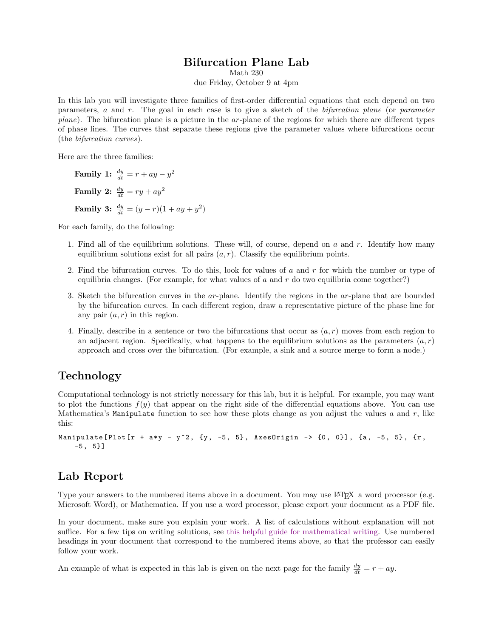#### Bifurcation Plane Lab

Math 230

due Friday, October 9 at 4pm

In this lab you will investigate three families of first-order differential equations that each depend on two parameters, a and r. The goal in each case is to give a sketch of the bifurcation plane (or parameter plane). The bifurcation plane is a picture in the ar-plane of the regions for which there are different types of phase lines. The curves that separate these regions give the parameter values where bifurcations occur (the bifurcation curves).

Here are the three families:

Family 1:  $\frac{dy}{dt} = r + ay - y^2$ Family 2:  $\frac{dy}{dt} = ry + ay^2$ **Family 3:**  $\frac{dy}{dt} = (y - r)(1 + ay + y^2)$ 

For each family, do the following:

- 1. Find all of the equilibrium solutions. These will, of course, depend on  $a$  and  $r$ . Identify how many equilibrium solutions exist for all pairs  $(a, r)$ . Classify the equilibrium points.
- 2. Find the bifurcation curves. To do this, look for values of  $a$  and  $r$  for which the number or type of equilibria changes. (For example, for what values of  $a$  and  $r$  do two equilibria come together?)
- 3. Sketch the bifurcation curves in the ar-plane. Identify the regions in the ar-plane that are bounded by the bifurcation curves. In each different region, draw a representative picture of the phase line for any pair  $(a, r)$  in this region.
- 4. Finally, describe in a sentence or two the bifurcations that occur as  $(a, r)$  moves from each region to an adjacent region. Specifically, what happens to the equilibrium solutions as the parameters  $(a, r)$ approach and cross over the bifurcation. (For example, a sink and a source merge to form a node.)

## Technology

Computational technology is not strictly necessary for this lab, but it is helpful. For example, you may want to plot the functions  $f(y)$  that appear on the right side of the differential equations above. You can use Mathematica's Manipulate function to see how these plots change as you adjust the values  $a$  and  $r$ , like this:

```
Manipulate [Plot [r + a*y - y^2, {y, -5, 5}, AxesOrigin -> {0, 0}], {a, -5, 5}, {r,
-5, 5]
```
### Lab Report

Type your answers to the numbered items above in a document. You may use LATEX a word processor (e.g. Microsoft Word), or Mathematica. If you use a word processor, please export your document as a PDF file.

In your document, make sure you explain your work. A list of calculations without explanation will not suffice. For a few tips on writing solutions, see this helpful guide for mathematical writing. Use numbered headings in your document that correspond to the numbered items above, so that the professor can easily follow your work.

An example of what is expected in this lab is given on the next page for the family  $\frac{dy}{dt} = r + ay$ .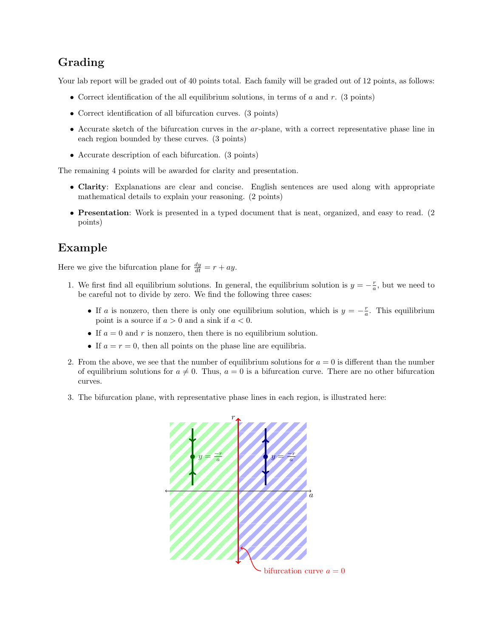## Grading

Your lab report will be graded out of 40 points total. Each family will be graded out of 12 points, as follows:

- Correct identification of the all equilibrium solutions, in terms of a and r. (3 points)
- Correct identification of all bifurcation curves. (3 points)
- Accurate sketch of the bifurcation curves in the ar-plane, with a correct representative phase line in each region bounded by these curves. (3 points)
- Accurate description of each bifurcation. (3 points)

The remaining 4 points will be awarded for clarity and presentation.

- Clarity: Explanations are clear and concise. English sentences are used along with appropriate mathematical details to explain your reasoning. (2 points)
- Presentation: Work is presented in a typed document that is neat, organized, and easy to read. (2) points)

# Example

Here we give the bifurcation plane for  $\frac{dy}{dt} = r + ay$ .

- 1. We first find all equilibrium solutions. In general, the equilibrium solution is  $y = -\frac{r}{a}$ , but we need to be careful not to divide by zero. We find the following three cases:
	- If a is nonzero, then there is only one equilibrium solution, which is  $y = -\frac{r}{a}$ . This equilibrium point is a source if  $a > 0$  and a sink if  $a < 0$ .
	- If  $a = 0$  and r is nonzero, then there is no equilibrium solution.
	- If  $a = r = 0$ , then all points on the phase line are equilibria.
- 2. From the above, we see that the number of equilibrium solutions for  $a = 0$  is different than the number of equilibrium solutions for  $a \neq 0$ . Thus,  $a = 0$  is a bifurcation curve. There are no other bifurcation curves.
- 3. The bifurcation plane, with representative phase lines in each region, is illustrated here: